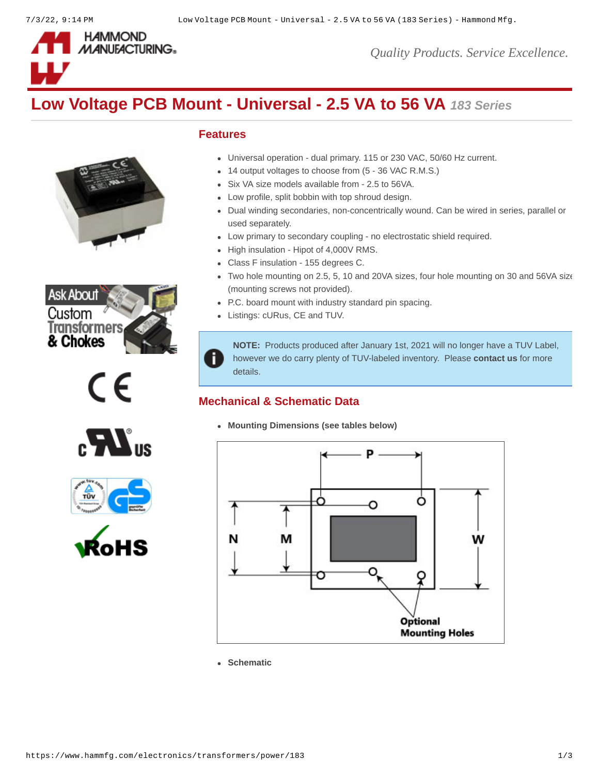

*Quality Products. Service Excellence.*

# **Low Voltage PCB Mount - Universal - 2.5 VA to 56 VA** *183 Series*











### **Features**

Ħ

- Universal operation dual primary. 115 or 230 VAC, 50/60 Hz current.
- 14 output voltages to choose from (5 36 VAC R.M.S.)
- Six VA size models available from 2.5 to 56VA.
- Low profile, split bobbin with top shroud design.
- Dual winding secondaries, non-concentrically wound. Can be wired in series, parallel or used separately.
- Low primary to secondary coupling no electrostatic shield required.
- High insulation Hipot of 4,000V RMS.
- Class F insulation 155 degrees C.
- Two hole mounting on 2.5, 5, 10 and 20VA sizes, four hole mounting on 30 and 56VA size (mounting screws not provided).
- P.C. board mount with industry standard pin spacing.
- Listings: cURus, CE and TUV.

**NOTE:** Products produced after January 1st, 2021 will no longer have a TUV Label, however we do carry plenty of TUV-labeled inventory. Please **[contact us](https://www.hammfg.com/contact)** for more details.

# **Mechanical & Schematic Data**

**Mounting Dimensions (see tables below)**



**Schematic**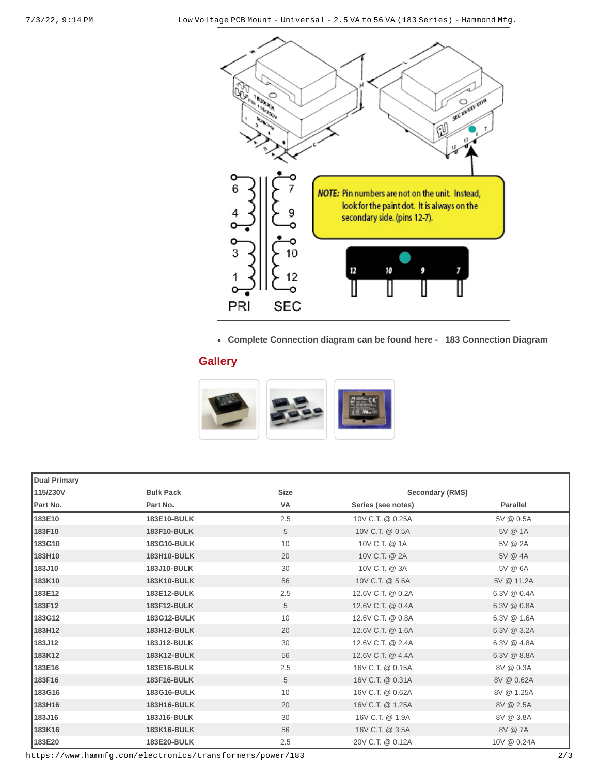

**Complete Connection diagram can be found here - [183 Connection Diagram](http://www.hammondmfg.com/pdf/183%20Insert.pdf)**

## **Gallery**



| <b>Dual Primary</b> |                    |             |                        |                 |  |
|---------------------|--------------------|-------------|------------------------|-----------------|--|
| 115/230V            | <b>Bulk Pack</b>   | <b>Size</b> | <b>Secondary (RMS)</b> |                 |  |
| Part No.            | Part No.           | <b>VA</b>   | Series (see notes)     | <b>Parallel</b> |  |
| 183E10              | 183E10-BULK        | 2.5         | 10V C.T. @ 0.25A       | 5V @ 0.5A       |  |
| 183F10              | 183F10-BULK        | 5           | 10V C.T. @ 0.5A        | 5V @ 1A         |  |
| 183G10              | 183G10-BULK        | 10          | 10V C.T. @ 1A          | 5V @ 2A         |  |
| 183H10              | 183H10-BULK        | 20          | 10V C.T. @ 2A          | 5V @ 4A         |  |
| 183J10              | 183J10-BULK        | 30          | 10V C.T. @ 3A          | 5V @ 6A         |  |
| 183K10              | <b>183K10-BULK</b> | 56          | 10V C.T. @ 5.6A        | 5V @ 11.2A      |  |
| 183E12              | 183E12-BULK        | 2.5         | 12.6V C.T. @ 0.2A      | 6.3V @ 0.4A     |  |
| 183F12              | 183F12-BULK        | 5           | 12.6V C.T. @ 0.4A      | 6.3V @ 0.8A     |  |
| 183G12              | 183G12-BULK        | 10          | 12.6V C.T. @ 0.8A      | 6.3V @ 1.6A     |  |
| 183H12              | <b>183H12-BULK</b> | 20          | 12.6V C.T. @ 1.6A      | $6.3V$ @ 3.2A   |  |
| 183J12              | 183J12-BULK        | 30          | 12.6V C.T. @ 2.4A      | 6.3V @ 4.8A     |  |
| 183K12              | <b>183K12-BULK</b> | 56          | 12.6V C.T. @ 4.4A      | $6.3V$ @ $8.8A$ |  |
| 183E16              | 183E16-BULK        | 2.5         | 16V C.T. @ 0.15A       | 8V @ 0.3A       |  |
| 183F16              | 183F16-BULK        | 5           | 16V C.T. @ 0.31A       | 8V @ 0.62A      |  |
| 183G16              | 183G16-BULK        | 10          | 16V C.T. @ 0.62A       | 8V @ 1.25A      |  |
| 183H16              | 183H16-BULK        | 20          | 16V C.T. @ 1.25A       | 8V @ 2.5A       |  |
| 183J16              | 183J16-BULK        | 30          | 16V C.T. @ 1.9A        | 8V @ 3.8A       |  |
| 183K16              | 183K16-BULK        | 56          | 16V C.T. @ 3.5A        | 8V @ 7A         |  |
| 183E20              | 183E20-BULK        | 2.5         | 20V C.T. @ 0.12A       | 10V @ 0.24A     |  |

https://www.hammfg.com/electronics/transformers/power/183 2/3